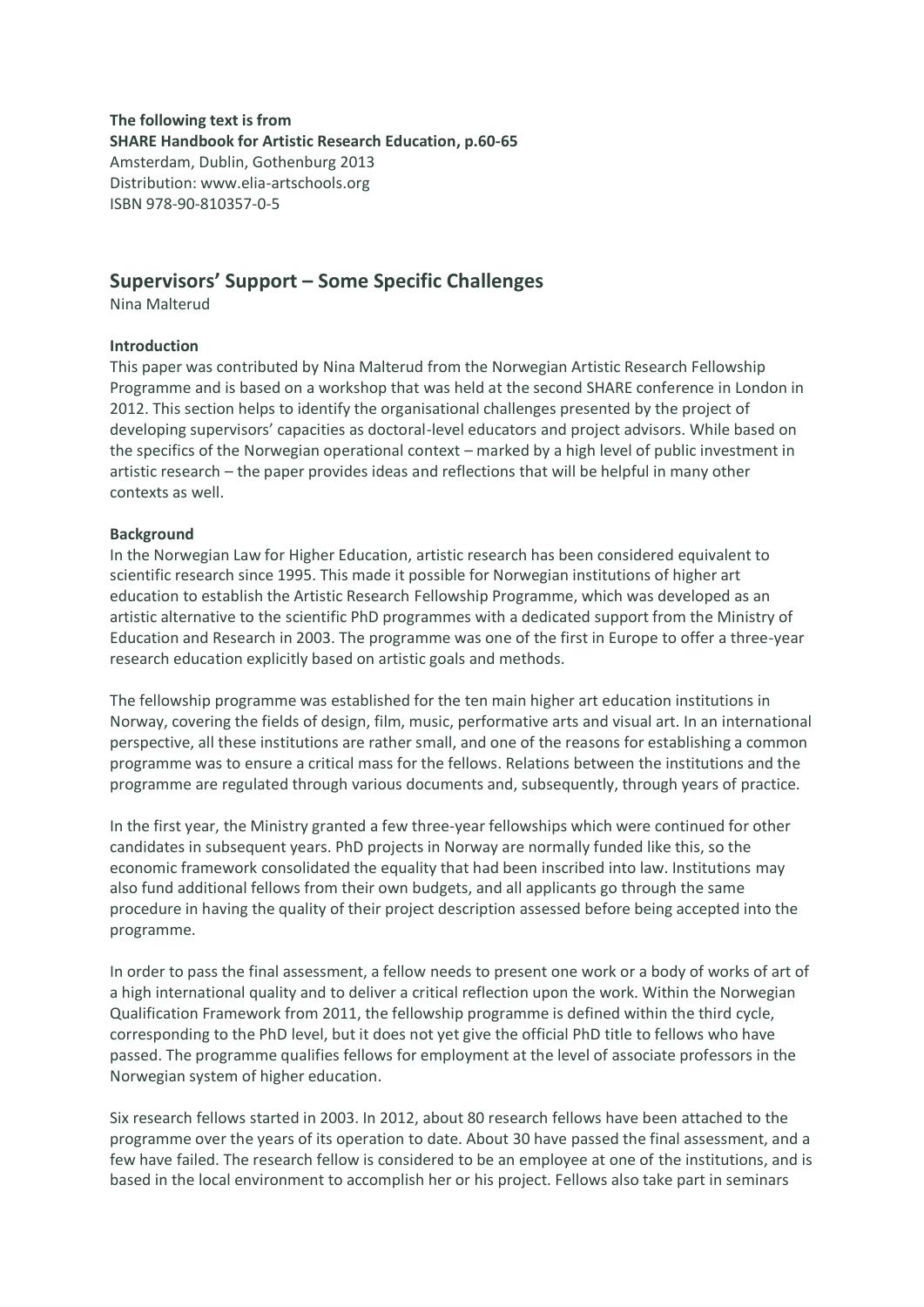**The following text is from SHARE Handbook for Artistic Research Education, p.60-65** Amsterdam, Dublin, Gothenburg 2013 Distribution: www.elia-artschools.org ISBN 978-90-810357-0-5

# **Supervisors' Support – Some Specific Challenges**

Nina Malterud

# **Introduction**

This paper was contributed by Nina Malterud from the Norwegian Artistic Research Fellowship Programme and is based on a workshop that was held at the second SHARE conference in London in 2012. This section helps to identify the organisational challenges presented by the project of developing supervisors' capacities as doctoral-level educators and project advisors. While based on the specifics of the Norwegian operational context – marked by a high level of public investment in artistic research – the paper provides ideas and reflections that will be helpful in many other contexts as well.

# **Background**

In the Norwegian Law for Higher Education, artistic research has been considered equivalent to scientific research since 1995. This made it possible for Norwegian institutions of higher art education to establish the Artistic Research Fellowship Programme, which was developed as an artistic alternative to the scientific PhD programmes with a dedicated support from the Ministry of Education and Research in 2003. The programme was one of the first in Europe to offer a three-year research education explicitly based on artistic goals and methods.

The fellowship programme was established for the ten main higher art education institutions in Norway, covering the fields of design, film, music, performative arts and visual art. In an international perspective, all these institutions are rather small, and one of the reasons for establishing a common programme was to ensure a critical mass for the fellows. Relations between the institutions and the programme are regulated through various documents and, subsequently, through years of practice.

In the first year, the Ministry granted a few three-year fellowships which were continued for other candidates in subsequent years. PhD projects in Norway are normally funded like this, so the economic framework consolidated the equality that had been inscribed into law. Institutions may also fund additional fellows from their own budgets, and all applicants go through the same procedure in having the quality of their project description assessed before being accepted into the programme.

In order to pass the final assessment, a fellow needs to present one work or a body of works of art of a high international quality and to deliver a critical reflection upon the work. Within the Norwegian Qualification Framework from 2011, the fellowship programme is defined within the third cycle, corresponding to the PhD level, but it does not yet give the official PhD title to fellows who have passed. The programme qualifies fellows for employment at the level of associate professors in the Norwegian system of higher education.

Six research fellows started in 2003. In 2012, about 80 research fellows have been attached to the programme over the years of its operation to date. About 30 have passed the final assessment, and a few have failed. The research fellow is considered to be an employee at one of the institutions, and is based in the local environment to accomplish her or his project. Fellows also take part in seminars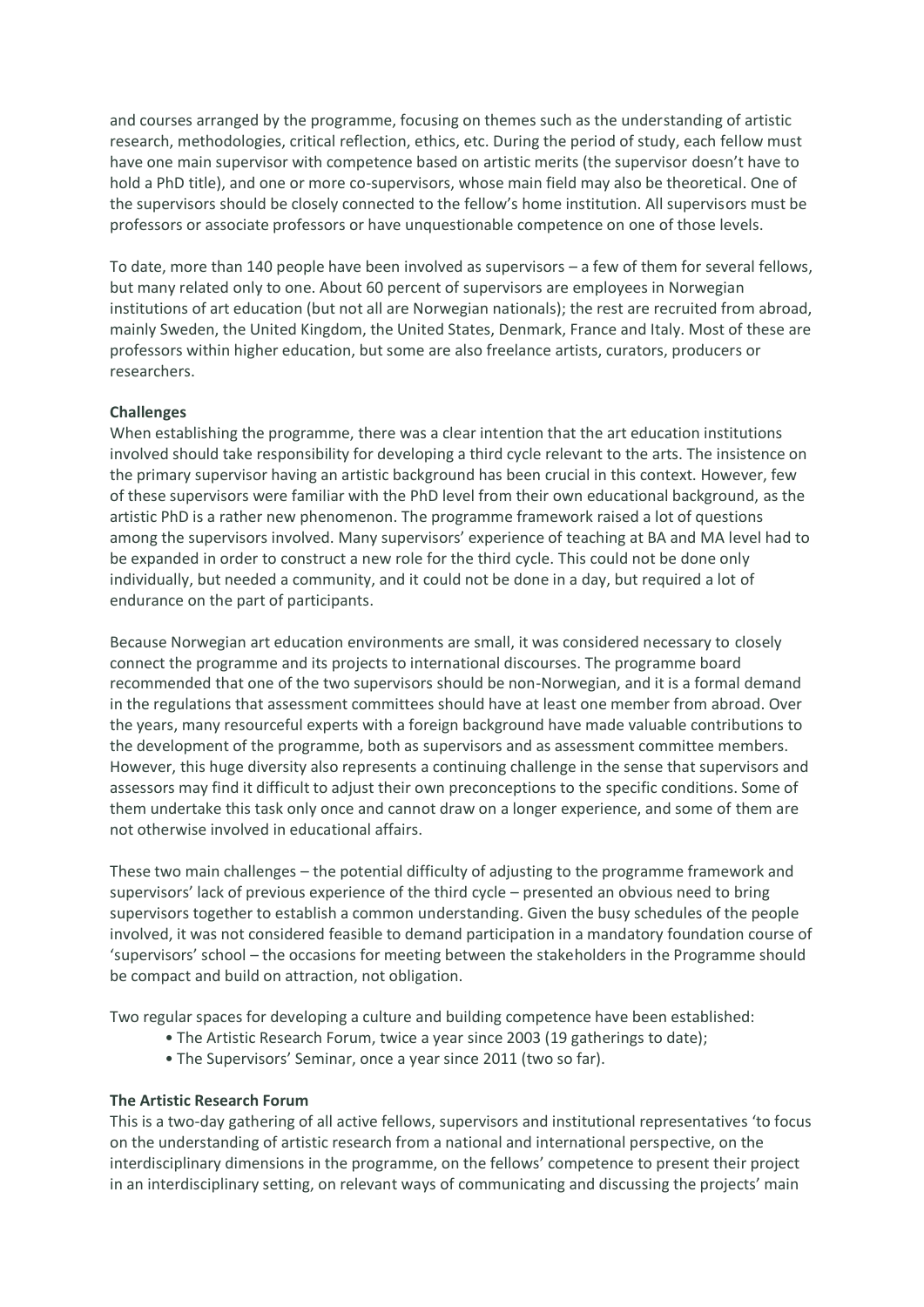and courses arranged by the programme, focusing on themes such as the understanding of artistic research, methodologies, critical reflection, ethics, etc. During the period of study, each fellow must have one main supervisor with competence based on artistic merits (the supervisor doesn't have to hold a PhD title), and one or more co-supervisors, whose main field may also be theoretical. One of the supervisors should be closely connected to the fellow's home institution. All supervisors must be professors or associate professors or have unquestionable competence on one of those levels.

To date, more than 140 people have been involved as supervisors – a few of them for several fellows, but many related only to one. About 60 percent of supervisors are employees in Norwegian institutions of art education (but not all are Norwegian nationals); the rest are recruited from abroad, mainly Sweden, the United Kingdom, the United States, Denmark, France and Italy. Most of these are professors within higher education, but some are also freelance artists, curators, producers or researchers.

### **Challenges**

When establishing the programme, there was a clear intention that the art education institutions involved should take responsibility for developing a third cycle relevant to the arts. The insistence on the primary supervisor having an artistic background has been crucial in this context. However, few of these supervisors were familiar with the PhD level from their own educational background, as the artistic PhD is a rather new phenomenon. The programme framework raised a lot of questions among the supervisors involved. Many supervisors' experience of teaching at BA and MA level had to be expanded in order to construct a new role for the third cycle. This could not be done only individually, but needed a community, and it could not be done in a day, but required a lot of endurance on the part of participants.

Because Norwegian art education environments are small, it was considered necessary to closely connect the programme and its projects to international discourses. The programme board recommended that one of the two supervisors should be non-Norwegian, and it is a formal demand in the regulations that assessment committees should have at least one member from abroad. Over the years, many resourceful experts with a foreign background have made valuable contributions to the development of the programme, both as supervisors and as assessment committee members. However, this huge diversity also represents a continuing challenge in the sense that supervisors and assessors may find it difficult to adjust their own preconceptions to the specific conditions. Some of them undertake this task only once and cannot draw on a longer experience, and some of them are not otherwise involved in educational affairs.

These two main challenges – the potential difficulty of adjusting to the programme framework and supervisors' lack of previous experience of the third cycle – presented an obvious need to bring supervisors together to establish a common understanding. Given the busy schedules of the people involved, it was not considered feasible to demand participation in a mandatory foundation course of 'supervisors' school – the occasions for meeting between the stakeholders in the Programme should be compact and build on attraction, not obligation.

Two regular spaces for developing a culture and building competence have been established:

- The Artistic Research Forum, twice a year since 2003 (19 gatherings to date);
- The Supervisors' Seminar, once a year since 2011 (two so far).

### **The Artistic Research Forum**

This is a two-day gathering of all active fellows, supervisors and institutional representatives 'to focus on the understanding of artistic research from a national and international perspective, on the interdisciplinary dimensions in the programme, on the fellows' competence to present their project in an interdisciplinary setting, on relevant ways of communicating and discussing the projects' main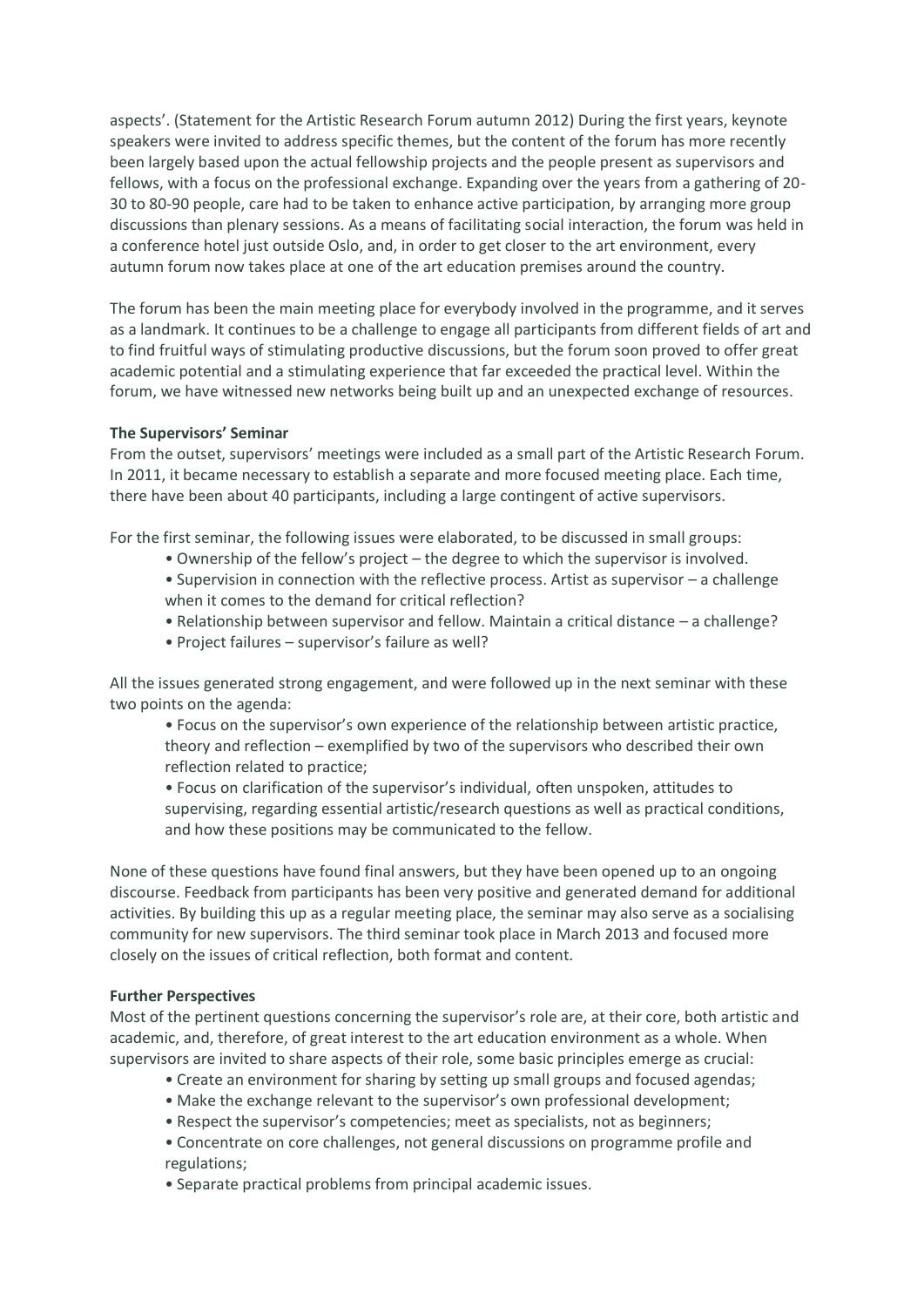aspects'. (Statement for the Artistic Research Forum autumn 2012) During the first years, keynote speakers were invited to address specific themes, but the content of the forum has more recently been largely based upon the actual fellowship projects and the people present as supervisors and fellows, with a focus on the professional exchange. Expanding over the years from a gathering of 20- 30 to 80-90 people, care had to be taken to enhance active participation, by arranging more group discussions than plenary sessions. As a means of facilitating social interaction, the forum was held in a conference hotel just outside Oslo, and, in order to get closer to the art environment, every autumn forum now takes place at one of the art education premises around the country.

The forum has been the main meeting place for everybody involved in the programme, and it serves as a landmark. It continues to be a challenge to engage all participants from different fields of art and to find fruitful ways of stimulating productive discussions, but the forum soon proved to offer great academic potential and a stimulating experience that far exceeded the practical level. Within the forum, we have witnessed new networks being built up and an unexpected exchange of resources.

### **The Supervisors' Seminar**

From the outset, supervisors' meetings were included as a small part of the Artistic Research Forum. In 2011, it became necessary to establish a separate and more focused meeting place. Each time, there have been about 40 participants, including a large contingent of active supervisors.

For the first seminar, the following issues were elaborated, to be discussed in small groups:

- Ownership of the fellow's project the degree to which the supervisor is involved.
- Supervision in connection with the reflective process. Artist as supervisor a challenge when it comes to the demand for critical reflection?
- Relationship between supervisor and fellow. Maintain a critical distance a challenge?
- Project failures supervisor's failure as well?

All the issues generated strong engagement, and were followed up in the next seminar with these two points on the agenda:

• Focus on the supervisor's own experience of the relationship between artistic practice, theory and reflection – exemplified by two of the supervisors who described their own reflection related to practice;

• Focus on clarification of the supervisor's individual, often unspoken, attitudes to supervising, regarding essential artistic/research questions as well as practical conditions, and how these positions may be communicated to the fellow.

None of these questions have found final answers, but they have been opened up to an ongoing discourse. Feedback from participants has been very positive and generated demand for additional activities. By building this up as a regular meeting place, the seminar may also serve as a socialising community for new supervisors. The third seminar took place in March 2013 and focused more closely on the issues of critical reflection, both format and content.

#### **Further Perspectives**

Most of the pertinent questions concerning the supervisor's role are, at their core, both artistic and academic, and, therefore, of great interest to the art education environment as a whole. When supervisors are invited to share aspects of their role, some basic principles emerge as crucial:

- Create an environment for sharing by setting up small groups and focused agendas;
- Make the exchange relevant to the supervisor's own professional development;
- Respect the supervisor's competencies; meet as specialists, not as beginners;
- Concentrate on core challenges, not general discussions on programme profile and regulations;
- Separate practical problems from principal academic issues.